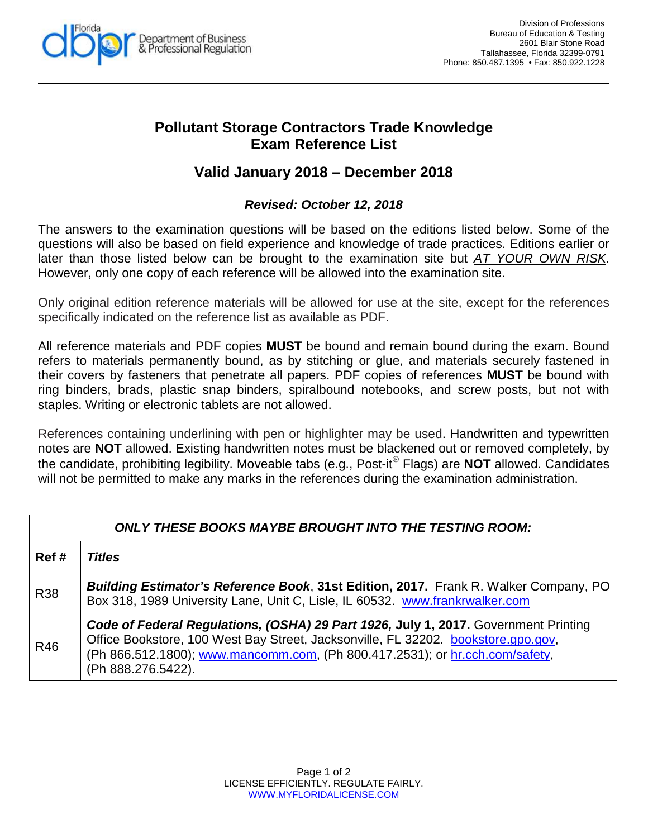

## **Pollutant Storage Contractors Trade Knowledge Exam Reference List**

## **Valid January 2018 – December 2018**

## *Revised: October 12, 2018*

The answers to the examination questions will be based on the editions listed below. Some of the questions will also be based on field experience and knowledge of trade practices. Editions earlier or later than those listed below can be brought to the examination site but *AT YOUR OWN RISK*. However, only one copy of each reference will be allowed into the examination site.

Only original edition reference materials will be allowed for use at the site, except for the references specifically indicated on the reference list as available as PDF.

All reference materials and PDF copies **MUST** be bound and remain bound during the exam. Bound refers to materials permanently bound, as by stitching or glue, and materials securely fastened in their covers by fasteners that penetrate all papers. PDF copies of references **MUST** be bound with ring binders, brads, plastic snap binders, spiralbound notebooks, and screw posts, but not with staples. Writing or electronic tablets are not allowed.

References containing underlining with pen or highlighter may be used. Handwritten and typewritten notes are **NOT** allowed. Existing handwritten notes must be blackened out or removed completely, by the candidate, prohibiting legibility. Moveable tabs (e.g., Post-it<sup>®</sup> Flags) are **NOT** allowed. Candidates will not be permitted to make any marks in the references during the examination administration.

| <b>ONLY THESE BOOKS MAYBE BROUGHT INTO THE TESTING ROOM:</b> |                                                                                                                                                                                                                                                                                |  |  |
|--------------------------------------------------------------|--------------------------------------------------------------------------------------------------------------------------------------------------------------------------------------------------------------------------------------------------------------------------------|--|--|
| Ref#                                                         | <b>Titles</b>                                                                                                                                                                                                                                                                  |  |  |
| <b>R38</b>                                                   | <b>Building Estimator's Reference Book, 31st Edition, 2017.</b> Frank R. Walker Company, PO<br>Box 318, 1989 University Lane, Unit C, Lisle, IL 60532. www.frankrwalker.com                                                                                                    |  |  |
| R46                                                          | Code of Federal Regulations, (OSHA) 29 Part 1926, July 1, 2017. Government Printing<br>Office Bookstore, 100 West Bay Street, Jacksonville, FL 32202. bookstore.gpo.gov,<br>(Ph 866.512.1800); www.mancomm.com, (Ph 800.417.2531); or hr.cch.com/safety,<br>(Ph 888.276.5422). |  |  |